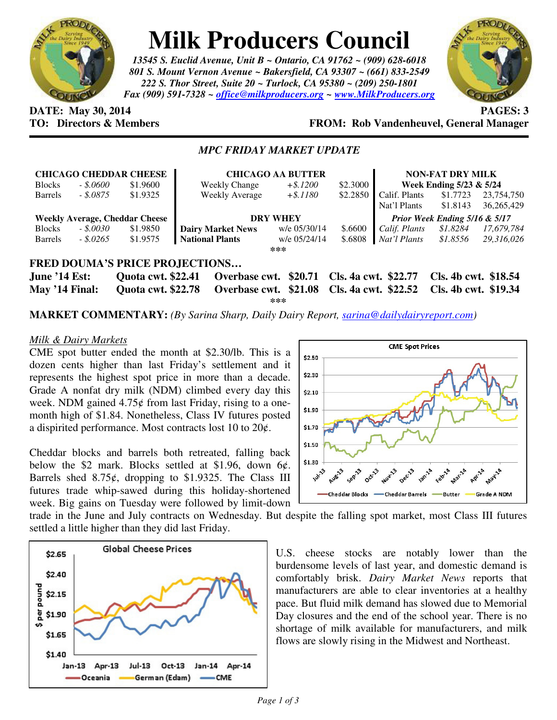

# **Milk Producers Council**

*13545 S. Euclid Avenue, Unit B ~ Ontario, CA 91762 ~ (909) 628-6018 801 S. Mount Vernon Avenue ~ Bakersfield, CA 93307 ~ (661) 833-2549 222 S. Thor Street, Suite 20 ~ Turlock, CA 95380 ~ (209) 250-1801 Fax (909) 591-7328 ~ office@milkproducers.org ~ www.MilkProducers.org*



## **DATE:** May 30, 2014 **PAGES:** 3

**TO: Directors & Members FROM: Rob Vandenheuvel, General Manager** 

### *MPC FRIDAY MARKET UPDATE*

|                                       |            | <b>CHICAGO CHEDDAR CHEESE</b> | <b>CHICAGO AA BUTTER</b>                   |              |          | <b>NON-FAT DRY MILK</b>       |                      |              |
|---------------------------------------|------------|-------------------------------|--------------------------------------------|--------------|----------|-------------------------------|----------------------|--------------|
| <b>Blocks</b>                         | - \$.0600  | \$1.9600                      | <b>Weekly Change</b>                       | $+$ \$.1200  | \$2.3000 | Week Ending 5/23 & 5/24       |                      |              |
| Barrels                               | - \$.0875  | \$1.9325                      | Weekly Average                             | $+ $.1180$   | \$2.2850 | Calif. Plants                 | \$1.7723             | 23,754,750   |
|                                       |            |                               |                                            |              |          | Nat'l Plants                  | \$1.8143             | 36, 265, 429 |
| <b>Weekly Average, Cheddar Cheese</b> |            |                               | <b>DRY WHEY</b>                            |              |          | Prior Week Ending 5/16 & 5/17 |                      |              |
| <b>Blocks</b>                         | - \$.0030  | \$1.9850                      | <b>Dairy Market News</b>                   | w/e 05/30/14 | \$.6600  | Calif. Plants                 | \$1.8284             | 17,679,784   |
| Barrels                               | $-.5.0265$ | \$1.9575                      | <b>National Plants</b>                     | w/e 05/24/14 | \$.6808  | Nat'l Plants                  | \$1.8556             | 29,316,026   |
| ***                                   |            |                               |                                            |              |          |                               |                      |              |
| <b>FRED DOUMA'S PRICE PROJECTIONS</b> |            |                               |                                            |              |          |                               |                      |              |
| <b>June '14 Est:</b>                  |            | <b>Quota cwt. \$22.41</b>     | Overbase cwt. \$20.71 Cls. 4a cwt. \$22.77 |              |          |                               | Cls. 4b cwt. \$18.54 |              |
| May '14 Final:                        |            | <b>Quota cwt. \$22.78</b>     | Overbase cwt. \$21.08 Cls. 4a cwt. \$22.52 |              |          |                               | Cls. 4b cwt. \$19.34 |              |

**\*\*\*** 

**MARKET COMMENTARY:** *(By Sarina Sharp, Daily Dairy Report, sarina@dailydairyreport.com)* 

#### *Milk & Dairy Markets*

CME spot butter ended the month at \$2.30/lb. This is a dozen cents higher than last Friday's settlement and it represents the highest spot price in more than a decade. Grade A nonfat dry milk (NDM) climbed every day this week. NDM gained  $4.75¢$  from last Friday, rising to a onemonth high of \$1.84. Nonetheless, Class IV futures posted a dispirited performance. Most contracts lost 10 to  $20¢$ .

Cheddar blocks and barrels both retreated, falling back below the \$2 mark. Blocks settled at \$1.96, down  $6¢$ . Barrels shed  $8.75¢$ , dropping to \$1.9325. The Class III futures trade whip-sawed during this holiday-shortened week. Big gains on Tuesday were followed by limit-down



trade in the June and July contracts on Wednesday. But despite the falling spot market, most Class III futures settled a little higher than they did last Friday.



U.S. cheese stocks are notably lower than the burdensome levels of last year, and domestic demand is comfortably brisk. *Dairy Market News* reports that manufacturers are able to clear inventories at a healthy pace. But fluid milk demand has slowed due to Memorial Day closures and the end of the school year. There is no shortage of milk available for manufacturers, and milk flows are slowly rising in the Midwest and Northeast.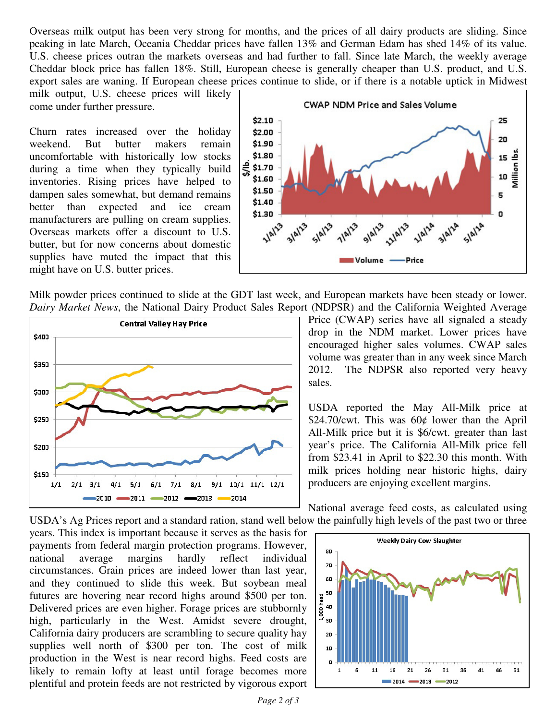Overseas milk output has been very strong for months, and the prices of all dairy products are sliding. Since peaking in late March, Oceania Cheddar prices have fallen 13% and German Edam has shed 14% of its value. U.S. cheese prices outran the markets overseas and had further to fall. Since late March, the weekly average Cheddar block price has fallen 18%. Still, European cheese is generally cheaper than U.S. product, and U.S. export sales are waning. If European cheese prices continue to slide, or if there is a notable uptick in Midwest

milk output, U.S. cheese prices will likely come under further pressure.

Churn rates increased over the holiday weekend. But butter makers remain uncomfortable with historically low stocks during a time when they typically build inventories. Rising prices have helped to dampen sales somewhat, but demand remains better than expected and ice cream manufacturers are pulling on cream supplies. Overseas markets offer a discount to U.S. butter, but for now concerns about domestic supplies have muted the impact that this might have on U.S. butter prices.



Milk powder prices continued to slide at the GDT last week, and European markets have been steady or lower. *Dairy Market News*, the National Dairy Product Sales Report (NDPSR) and the California Weighted Average



Price (CWAP) series have all signaled a steady drop in the NDM market. Lower prices have encouraged higher sales volumes. CWAP sales volume was greater than in any week since March 2012. The NDPSR also reported very heavy sales.

USDA reported the May All-Milk price at \$24.70/cwt. This was  $60¢$  lower than the April All-Milk price but it is \$6/cwt. greater than last year's price. The California All-Milk price fell from \$23.41 in April to \$22.30 this month. With milk prices holding near historic highs, dairy producers are enjoying excellent margins.

National average feed costs, as calculated using USDA's Ag Prices report and a standard ration, stand well below the painfully high levels of the past two or three

years. This index is important because it serves as the basis for payments from federal margin protection programs. However, national average margins hardly reflect individual circumstances. Grain prices are indeed lower than last year, and they continued to slide this week. But soybean meal futures are hovering near record highs around \$500 per ton. Delivered prices are even higher. Forage prices are stubbornly high, particularly in the West. Amidst severe drought, California dairy producers are scrambling to secure quality hay supplies well north of \$300 per ton. The cost of milk production in the West is near record highs. Feed costs are likely to remain lofty at least until forage becomes more plentiful and protein feeds are not restricted by vigorous export